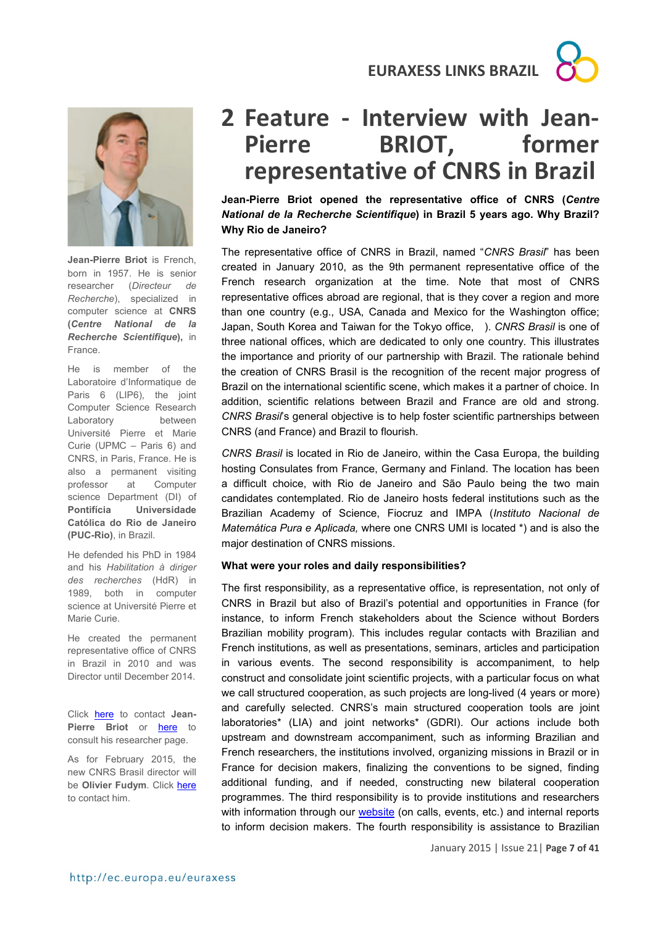**EURAXESS LINKS BRAZIL**





**Jean-Pierre Briot** is French, born in 1957. He is senior researcher (*Directeur de Recherche*), specialized in computer science at **CNRS (***Centre National de la Recherche Scientifique***),** in France.

He is member of the Laboratoire d'Informatique de Paris 6 (LIP6), the joint Computer Science Research Laboratory between Université Pierre et Marie Curie (UPMC – Paris 6) and CNRS, in Paris, France. He is also a permanent visiting professor at Computer science Department (DI) of **Pontifícia Universidade Católica do Rio de Janeiro (PUC-Rio)**, in Brazil.

He defended his PhD in 1984 and his *Habilitation à diriger des recherches* (HdR) in 1989, both in computer science at Université Pierre et Marie Curie.

He created the permanent representative office of CNRS in Brazil in 2010 and was Director until December 2014.

Click here to contact **Jean-Pierre Briot** or here to consult his researcher page.

As for February 2015, the new CNRS Brasil director will be **Olivier Fudym**. Click here to contact him.

# **2 Feature - Interview with Jean-BRIOT, former representative of CNRS in Brazil**

**Jean-Pierre Briot opened the representative office of CNRS (***Centre National de la Recherche Scientifique***) in Brazil 5 years ago. Why Brazil? Why Rio de Janeiro?**

The representative office of CNRS in Brazil, named "*CNRS Brasil*" has been created in January 2010, as the 9th permanent representative office of the French research organization at the time. Note that most of CNRS representative offices abroad are regional, that is they cover a region and more than one country (e.g., USA, Canada and Mexico for the Washington office; Japan, South Korea and Taiwan for the Tokyo office, ). *CNRS Brasil* is one of three national offices, which are dedicated to only one country. This illustrates the importance and priority of our partnership with Brazil. The rationale behind the creation of CNRS Brasil is the recognition of the recent major progress of Brazil on the international scientific scene, which makes it a partner of choice. In addition, scientific relations between Brazil and France are old and strong. *CNRS Brasil*'s general objective is to help foster scientific partnerships between CNRS (and France) and Brazil to flourish.

*CNRS Brasil* is located in Rio de Janeiro, within the Casa Europa, the building hosting Consulates from France, Germany and Finland. The location has been a difficult choice, with Rio de Janeiro and São Paulo being the two main candidates contemplated. Rio de Janeiro hosts federal institutions such as the Brazilian Academy of Science, Fiocruz and IMPA (*Instituto Nacional de Matemática Pura e Aplicada,* where one CNRS UMI is located \*) and is also the major destination of CNRS missions.

#### **What were your roles and daily responsibilities?**

The first responsibility, as a representative office, is representation, not only of CNRS in Brazil but also of Brazil's potential and opportunities in France (for instance, to inform French stakeholders about the Science without Borders Brazilian mobility program). This includes regular contacts with Brazilian and French institutions, as well as presentations, seminars, articles and participation in various events. The second responsibility is accompaniment, to help construct and consolidate joint scientific projects, with a particular focus on what we call structured cooperation, as such projects are long-lived (4 years or more) and carefully selected. CNRS's main structured cooperation tools are joint laboratories\* (LIA) and joint networks\* (GDRI). Our actions include both upstream and downstream accompaniment, such as informing Brazilian and French researchers, the institutions involved, organizing missions in Brazil or in France for decision makers, finalizing the conventions to be signed, finding additional funding, and if needed, constructing new bilateral cooperation programmes. The third responsibility is to provide institutions and researchers with information through our website (on calls, events, etc.) and internal reports to inform decision makers. The fourth responsibility is assistance to Brazilian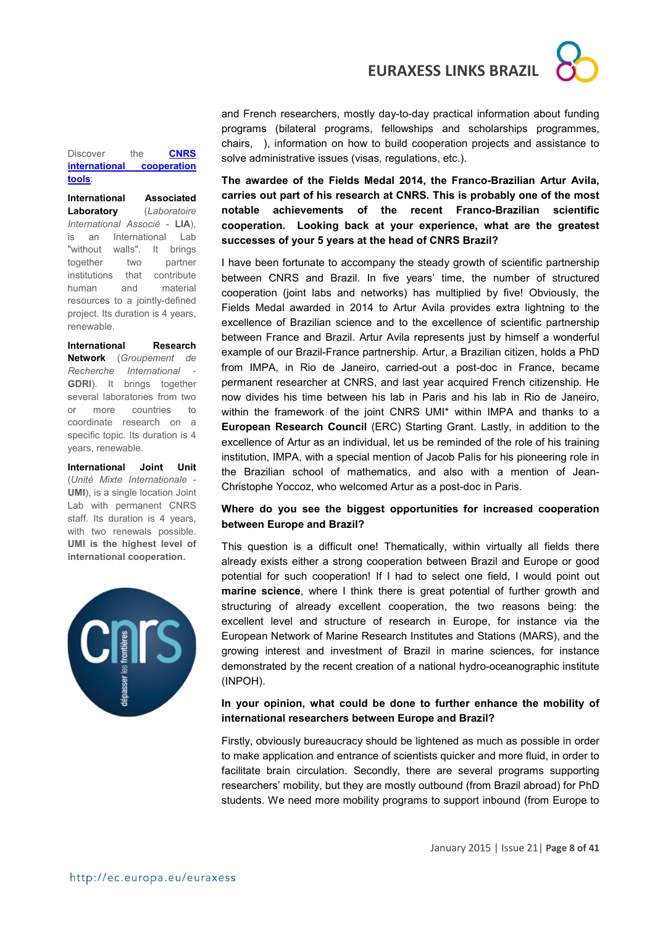**EURAXESS LINKS BRAZIL**



and French researchers, mostly day-to-day practical information about funding programs (bilateral programs, fellowships and scholarships programmes, chairs, ), information on how to build cooperation projects and assistance to solve administrative issues (visas, regulations, etc.).

## **The awardee of the Fields Medal 2014, the Franco-Brazilian Artur Avila, carries out part of his research at CNRS. This is probably one of the most notable achievements of the recent Franco-Brazilian scientific cooperation. Looking back at your experience, what are the greatest successes of your 5 years at the head of CNRS Brazil?**

I have been fortunate to accompany the steady growth of scientific partnership between CNRS and Brazil. In five years' time, the number of structured cooperation (joint labs and networks) has multiplied by five! Obviously, the Fields Medal awarded in 2014 to Artur Avila provides extra lightning to the excellence of Brazilian science and to the excellence of scientific partnership between France and Brazil. Artur Avila represents just by himself a wonderful example of our Brazil-France partnership. Artur, a Brazilian citizen, holds a PhD from IMPA, in Rio de Janeiro, carried-out a post-doc in France, became permanent researcher at CNRS, and last year acquired French citizenship. He now divides his time between his lab in Paris and his lab in Rio de Janeiro, within the framework of the joint CNRS UMI\* within IMPA and thanks to a **European Research Council** (ERC) Starting Grant. Lastly, in addition to the excellence of Artur as an individual, let us be reminded of the role of his training institution, IMPA, with a special mention of Jacob Palis for his pioneering role in the Brazilian school of mathematics, and also with a mention of Jean-Christophe Yoccoz, who welcomed Artur as a post-doc in Paris.

### **Where do you see the biggest opportunities for increased cooperation between Europe and Brazil?**

This question is a difficult one! Thematically, within virtually all fields there already exists either a strong cooperation between Brazil and Europe or good potential for such cooperation! If I had to select one field, I would point out **marine science**, where I think there is great potential of further growth and structuring of already excellent cooperation, the two reasons being: the excellent level and structure of research in Europe, for instance via the European Network of Marine Research Institutes and Stations (MARS), and the growing interest and investment of Brazil in marine sciences, for instance demonstrated by the recent creation of a national hydro-oceanographic institute (INPOH).

## **In your opinion, what could be done to further enhance the mobility of international researchers between Europe and Brazil?**

Firstly, obviously bureaucracy should be lightened as much as possible in order to make application and entrance of scientists quicker and more fluid, in order to facilitate brain circulation. Secondly, there are several programs supporting researchers' mobility, but they are mostly outbound (from Brazil abroad) for PhD students. We need more mobility programs to support inbound (from Europe to

#### Discover the **CNRS international cooperation tools**:

**International Associated Laboratory** (*Laboratoire International Associé* - **LIA**), is an International Lab "without walls". It brings together two partner institutions that contribute human and material resources to a jointly-defined project. Its duration is 4 years, renewable.

**International Research Network** (*Groupement de Recherche International* - **GDRI**). It brings together several laboratories from two or more countries to coordinate research on a specific topic. Its duration is 4 years, renewable.

**International Joint Unit** (*Unité Mixte Internationale* - **UMI**), is a single location Joint Lab with permanent CNRS staff. Its duration is 4 years, with two renewals possible. **UMI is the highest level of international cooperation.**